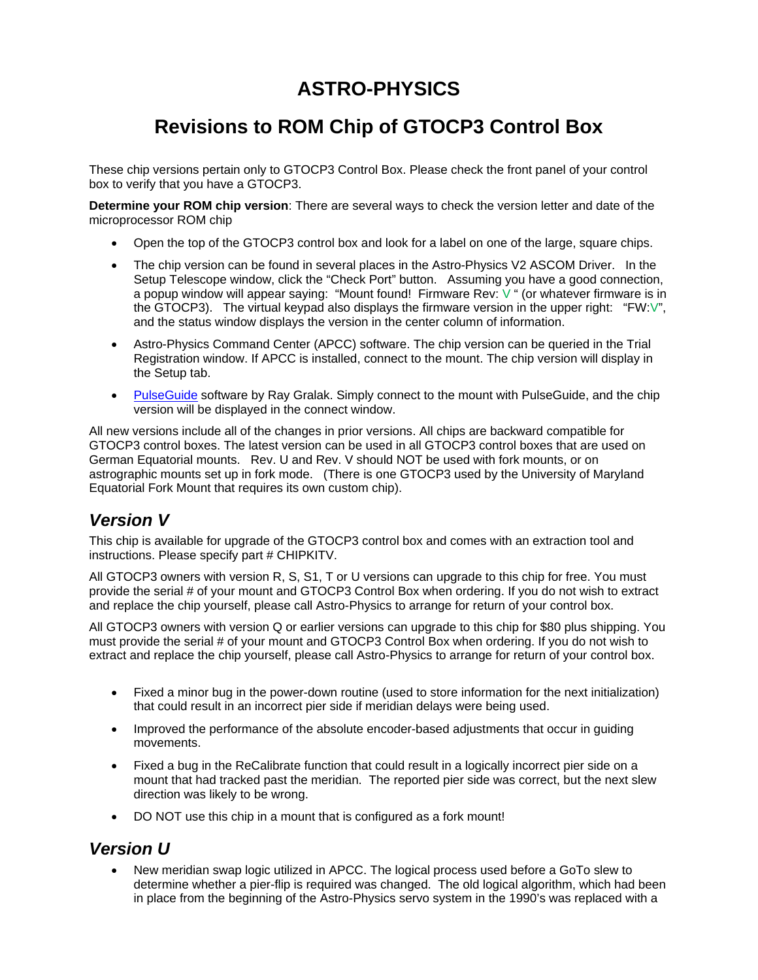# **ASTRO-PHYSICS**

# **Revisions to ROM Chip of GTOCP3 Control Box**

These chip versions pertain only to GTOCP3 Control Box. Please check the front panel of your control box to verify that you have a GTOCP3.

**Determine your ROM chip version**: There are several ways to check the version letter and date of the microprocessor ROM chip

- Open the top of the GTOCP3 control box and look for a label on one of the large, square chips.
- The chip version can be found in several places in the Astro-Physics V2 ASCOM Driver. In the Setup Telescope window, click the "Check Port" button. Assuming you have a good connection, a popup window will appear saying: "Mount found! Firmware Rev: V " (or whatever firmware is in the GTOCP3). The virtual keypad also displays the firmware version in the upper right: "FW:V", and the status window displays the version in the center column of information.
- Astro-Physics Command Center (APCC) software. The chip version can be queried in the Trial Registration window. If APCC is installed, connect to the mount. The chip version will display in the Setup tab.
- PulseGuide software by Ray Gralak. Simply connect to the mount with PulseGuide, and the chip version will be displayed in the connect window.

All new versions include all of the changes in prior versions. All chips are backward compatible for GTOCP3 control boxes. The latest version can be used in all GTOCP3 control boxes that are used on German Equatorial mounts. Rev. U and Rev. V should NOT be used with fork mounts, or on astrographic mounts set up in fork mode. (There is one GTOCP3 used by the University of Maryland Equatorial Fork Mount that requires its own custom chip).

### *Version V*

This chip is available for upgrade of the GTOCP3 control box and comes with an extraction tool and instructions. Please specify part # CHIPKITV.

All GTOCP3 owners with version R, S, S1, T or U versions can upgrade to this chip for free. You must provide the serial # of your mount and GTOCP3 Control Box when ordering. If you do not wish to extract and replace the chip yourself, please call Astro-Physics to arrange for return of your control box.

All GTOCP3 owners with version Q or earlier versions can upgrade to this chip for \$80 plus shipping. You must provide the serial # of your mount and GTOCP3 Control Box when ordering. If you do not wish to extract and replace the chip yourself, please call Astro-Physics to arrange for return of your control box.

- Fixed a minor bug in the power-down routine (used to store information for the next initialization) that could result in an incorrect pier side if meridian delays were being used.
- Improved the performance of the absolute encoder-based adjustments that occur in guiding movements.
- Fixed a bug in the ReCalibrate function that could result in a logically incorrect pier side on a mount that had tracked past the meridian. The reported pier side was correct, but the next slew direction was likely to be wrong.
- DO NOT use this chip in a mount that is configured as a fork mount!

### *Version U*

 New meridian swap logic utilized in APCC. The logical process used before a GoTo slew to determine whether a pier-flip is required was changed. The old logical algorithm, which had been in place from the beginning of the Astro-Physics servo system in the 1990's was replaced with a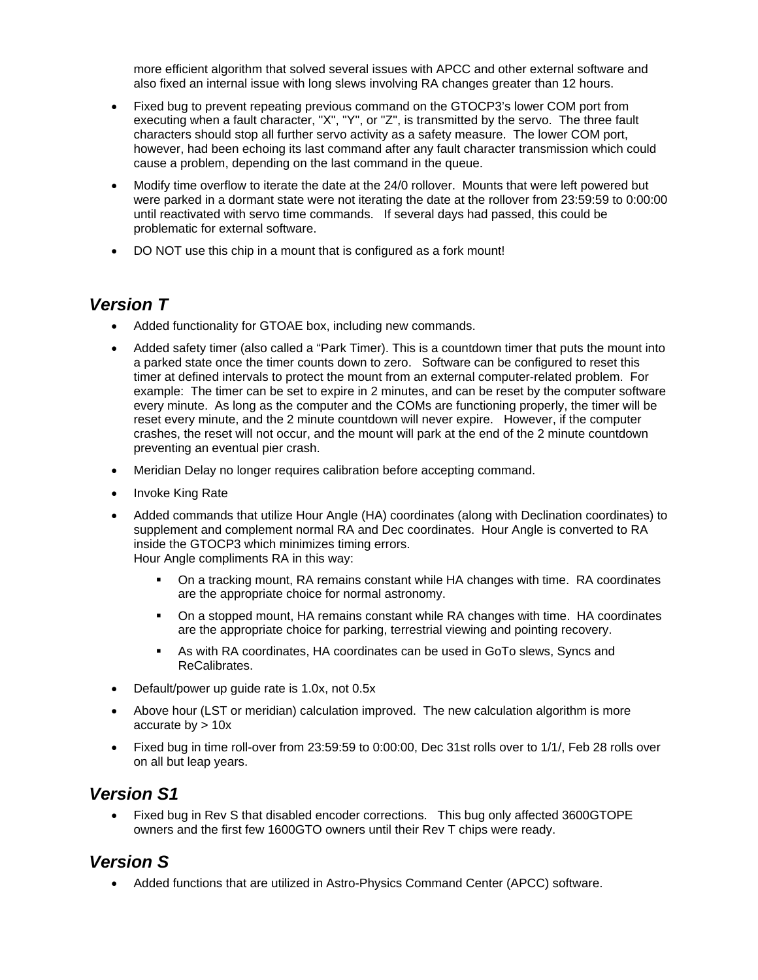more efficient algorithm that solved several issues with APCC and other external software and also fixed an internal issue with long slews involving RA changes greater than 12 hours.

- Fixed bug to prevent repeating previous command on the GTOCP3's lower COM port from executing when a fault character, "X", "Y", or "Z", is transmitted by the servo. The three fault characters should stop all further servo activity as a safety measure. The lower COM port, however, had been echoing its last command after any fault character transmission which could cause a problem, depending on the last command in the queue.
- Modify time overflow to iterate the date at the 24/0 rollover. Mounts that were left powered but were parked in a dormant state were not iterating the date at the rollover from 23:59:59 to 0:00:00 until reactivated with servo time commands. If several days had passed, this could be problematic for external software.
- DO NOT use this chip in a mount that is configured as a fork mount!

#### *Version T*

- Added functionality for GTOAE box, including new commands.
- Added safety timer (also called a "Park Timer). This is a countdown timer that puts the mount into a parked state once the timer counts down to zero. Software can be configured to reset this timer at defined intervals to protect the mount from an external computer-related problem. For example: The timer can be set to expire in 2 minutes, and can be reset by the computer software every minute. As long as the computer and the COMs are functioning properly, the timer will be reset every minute, and the 2 minute countdown will never expire. However, if the computer crashes, the reset will not occur, and the mount will park at the end of the 2 minute countdown preventing an eventual pier crash.
- Meridian Delay no longer requires calibration before accepting command.
- Invoke King Rate
- Added commands that utilize Hour Angle (HA) coordinates (along with Declination coordinates) to supplement and complement normal RA and Dec coordinates. Hour Angle is converted to RA inside the GTOCP3 which minimizes timing errors. Hour Angle compliments RA in this way:
	- On a tracking mount, RA remains constant while HA changes with time. RA coordinates are the appropriate choice for normal astronomy.
	- On a stopped mount, HA remains constant while RA changes with time. HA coordinates are the appropriate choice for parking, terrestrial viewing and pointing recovery.
	- As with RA coordinates, HA coordinates can be used in GoTo slews, Syncs and ReCalibrates.
- Default/power up guide rate is 1.0x, not 0.5x
- Above hour (LST or meridian) calculation improved. The new calculation algorithm is more accurate by  $> 10x$
- Fixed bug in time roll-over from 23:59:59 to 0:00:00, Dec 31st rolls over to 1/1/, Feb 28 rolls over on all but leap years.

#### *Version S1*

 Fixed bug in Rev S that disabled encoder corrections. This bug only affected 3600GTOPE owners and the first few 1600GTO owners until their Rev T chips were ready.

### *Version S*

Added functions that are utilized in Astro-Physics Command Center (APCC) software.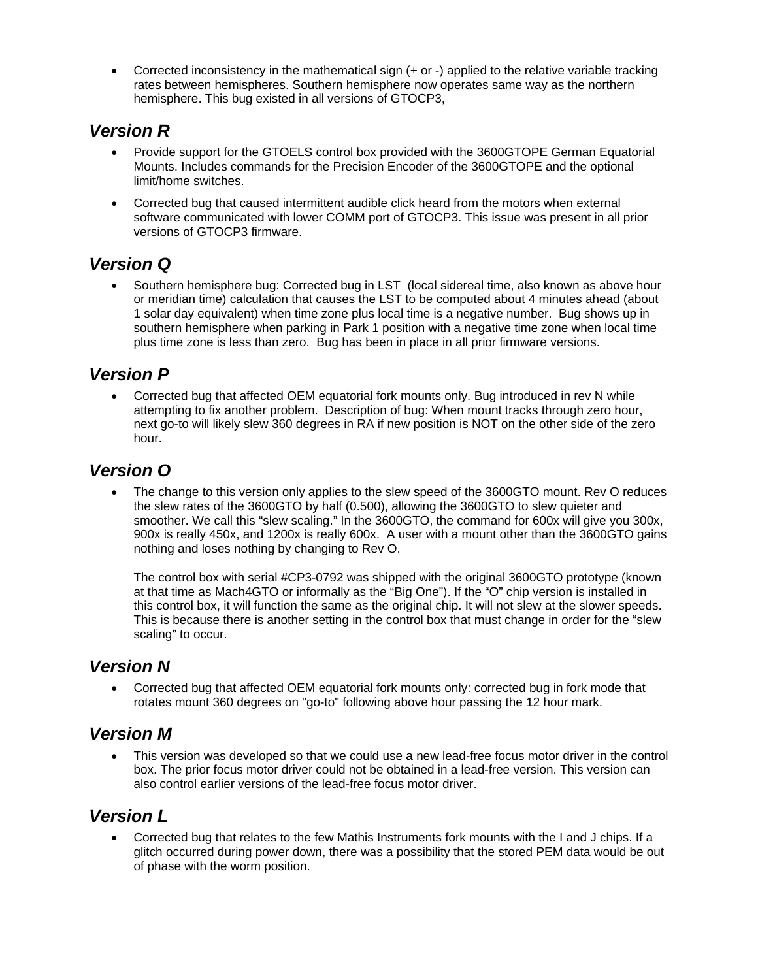Corrected inconsistency in the mathematical sign (+ or -) applied to the relative variable tracking rates between hemispheres. Southern hemisphere now operates same way as the northern hemisphere. This bug existed in all versions of GTOCP3,

## *Version R*

- Provide support for the GTOELS control box provided with the 3600GTOPE German Equatorial Mounts. Includes commands for the Precision Encoder of the 3600GTOPE and the optional limit/home switches.
- Corrected bug that caused intermittent audible click heard from the motors when external software communicated with lower COMM port of GTOCP3. This issue was present in all prior versions of GTOCP3 firmware.

# *Version Q*

 Southern hemisphere bug: Corrected bug in LST (local sidereal time, also known as above hour or meridian time) calculation that causes the LST to be computed about 4 minutes ahead (about 1 solar day equivalent) when time zone plus local time is a negative number. Bug shows up in southern hemisphere when parking in Park 1 position with a negative time zone when local time plus time zone is less than zero. Bug has been in place in all prior firmware versions.

### *Version P*

 Corrected bug that affected OEM equatorial fork mounts only. Bug introduced in rev N while attempting to fix another problem. Description of bug: When mount tracks through zero hour, next go-to will likely slew 360 degrees in RA if new position is NOT on the other side of the zero hour.

# *Version O*

 The change to this version only applies to the slew speed of the 3600GTO mount. Rev O reduces the slew rates of the 3600GTO by half (0.500), allowing the 3600GTO to slew quieter and smoother. We call this "slew scaling." In the 3600GTO, the command for 600x will give you 300x, 900x is really 450x, and 1200x is really 600x. A user with a mount other than the 3600GTO gains nothing and loses nothing by changing to Rev O.

The control box with serial #CP3-0792 was shipped with the original 3600GTO prototype (known at that time as Mach4GTO or informally as the "Big One"). If the "O" chip version is installed in this control box, it will function the same as the original chip. It will not slew at the slower speeds. This is because there is another setting in the control box that must change in order for the "slew scaling" to occur.

### *Version N*

 Corrected bug that affected OEM equatorial fork mounts only: corrected bug in fork mode that rotates mount 360 degrees on "go-to" following above hour passing the 12 hour mark.

### *Version M*

 This version was developed so that we could use a new lead-free focus motor driver in the control box. The prior focus motor driver could not be obtained in a lead-free version. This version can also control earlier versions of the lead-free focus motor driver.

### *Version L*

 Corrected bug that relates to the few Mathis Instruments fork mounts with the I and J chips. If a glitch occurred during power down, there was a possibility that the stored PEM data would be out of phase with the worm position.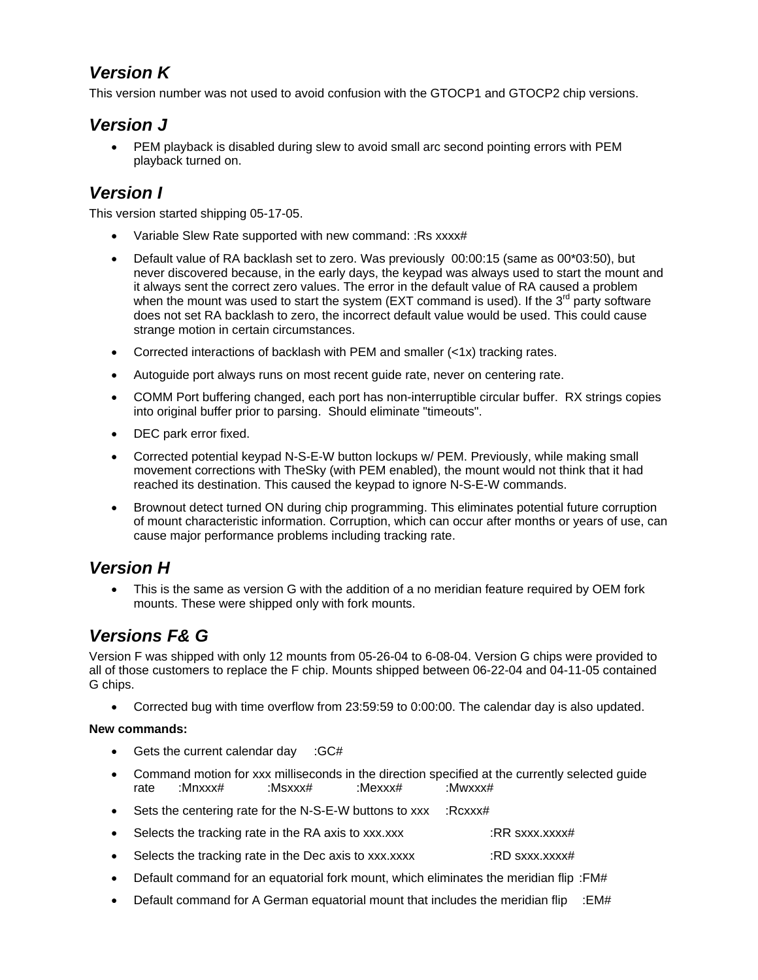# *Version K*

This version number was not used to avoid confusion with the GTOCP1 and GTOCP2 chip versions.

# *Version J*

 PEM playback is disabled during slew to avoid small arc second pointing errors with PEM playback turned on.

### *Version I*

This version started shipping 05-17-05.

- Variable Slew Rate supported with new command: :Rs xxxx#
- Default value of RA backlash set to zero. Was previously 00:00:15 (same as 00\*03:50), but never discovered because, in the early days, the keypad was always used to start the mount and it always sent the correct zero values. The error in the default value of RA caused a problem when the mount was used to start the system (EXT command is used). If the  $3<sup>rd</sup>$  party software does not set RA backlash to zero, the incorrect default value would be used. This could cause strange motion in certain circumstances.
- Corrected interactions of backlash with PEM and smaller  $\left\langle \langle 1 \rangle \right\rangle$  tracking rates.
- Autoguide port always runs on most recent guide rate, never on centering rate.
- COMM Port buffering changed, each port has non-interruptible circular buffer. RX strings copies into original buffer prior to parsing. Should eliminate "timeouts".
- DEC park error fixed.
- Corrected potential keypad N-S-E-W button lockups w/ PEM. Previously, while making small movement corrections with TheSky (with PEM enabled), the mount would not think that it had reached its destination. This caused the keypad to ignore N-S-E-W commands.
- Brownout detect turned ON during chip programming. This eliminates potential future corruption of mount characteristic information. Corruption, which can occur after months or years of use, can cause major performance problems including tracking rate.

### *Version H*

 This is the same as version G with the addition of a no meridian feature required by OEM fork mounts. These were shipped only with fork mounts.

# *Versions F& G*

Version F was shipped with only 12 mounts from 05-26-04 to 6-08-04. Version G chips were provided to all of those customers to replace the F chip. Mounts shipped between 06-22-04 and 04-11-05 contained G chips.

Corrected bug with time overflow from 23:59:59 to 0:00:00. The calendar day is also updated.

#### **New commands:**

- Gets the current calendar day : GC#
- Command motion for xxx milliseconds in the direction specified at the currently selected guide rate :Mnxxx# :Msxxx# :Mexxx# :Mwxxx#
- Sets the centering rate for the N-S-E-W buttons to xxx :Rcxxx#
- Selects the tracking rate in the RA axis to xxx.xxx  $\cdot$  :RR sxxx.xxxx#
- Selects the tracking rate in the Dec axis to xxx.xxxx : RD sxxx.xxxx#
- Default command for an equatorial fork mount, which eliminates the meridian flip :FM#
- **•** Default command for A German equatorial mount that includes the meridian flip  $:= E M#$